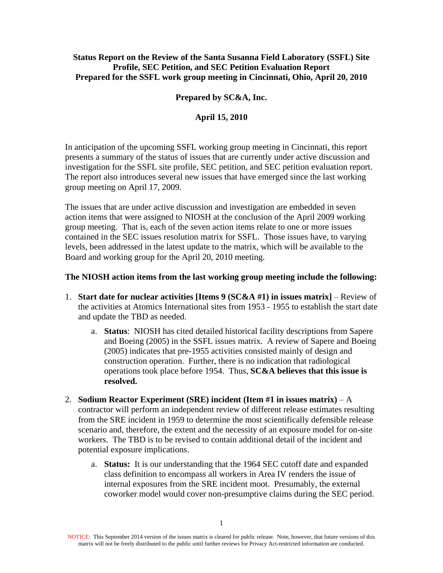## **Status Report on the Review of the Santa Susanna Field Laboratory (SSFL) Site Profile, SEC Petition, and SEC Petition Evaluation Report Prepared for the SSFL work group meeting in Cincinnati, Ohio, April 20, 2010**

### **Prepared by SC&A, Inc.**

### **April 15, 2010**

In anticipation of the upcoming SSFL working group meeting in Cincinnati, this report presents a summary of the status of issues that are currently under active discussion and investigation for the SSFL site profile, SEC petition, and SEC petition evaluation report. The report also introduces several new issues that have emerged since the last working group meeting on April 17, 2009.

The issues that are under active discussion and investigation are embedded in seven action items that were assigned to NIOSH at the conclusion of the April 2009 working group meeting. That is, each of the seven action items relate to one or more issues contained in the SEC issues resolution matrix for SSFL. Those issues have, to varying levels, been addressed in the latest update to the matrix, which will be available to the Board and working group for the April 20, 2010 meeting.

#### **The NIOSH action items from the last working group meeting include the following:**

- 1. **Start date for nuclear activities [Items 9 (SC&A #1) in issues matrix]** Review of the activities at Atomics International sites from 1953 - 1955 to establish the start date and update the TBD as needed.
	- a. **Status**: NIOSH has cited detailed historical facility descriptions from Sapere and Boeing (2005) in the SSFL issues matrix. A review of Sapere and Boeing (2005) indicates that pre-1955 activities consisted mainly of design and construction operation. Further, there is no indication that radiological operations took place before 1954. Thus, **SC&A believes that this issue is resolved.**
- 2. **Sodium Reactor Experiment (SRE) incident (Item #1 in issues matrix)**  A contractor will perform an independent review of different release estimates resulting from the SRE incident in 1959 to determine the most scientifically defensible release scenario and, therefore, the extent and the necessity of an exposure model for on-site workers. The TBD is to be revised to contain additional detail of the incident and potential exposure implications.
	- a. **Status:** It is our understanding that the 1964 SEC cutoff date and expanded class definition to encompass all workers in Area IV renders the issue of internal exposures from the SRE incident moot. Presumably, the external coworker model would cover non-presumptive claims during the SEC period.

NOTICE: This September 2014 version of the issues matrix is cleared for public release. Note, however, that future versions of this matrix will not be freely distributed to the public until further reviews for Privacy Act-restricted information are conducted.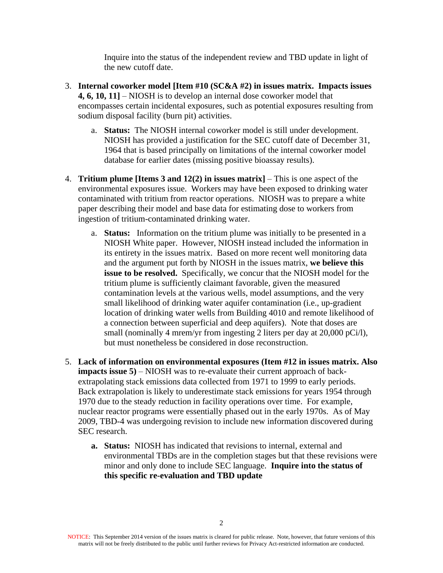Inquire into the status of the independent review and TBD update in light of the new cutoff date.

- 3. **Internal coworker model [Item #10 (SC&A #2) in issues matrix. Impacts issues 4, 6, 10, 11]** – NIOSH is to develop an internal dose coworker model that encompasses certain incidental exposures, such as potential exposures resulting from sodium disposal facility (burn pit) activities.
	- a. **Status:** The NIOSH internal coworker model is still under development. NIOSH has provided a justification for the SEC cutoff date of December 31, 1964 that is based principally on limitations of the internal coworker model database for earlier dates (missing positive bioassay results).
- 4. **Tritium plume [Items 3 and 12(2) in issues matrix]** This is one aspect of the environmental exposures issue. Workers may have been exposed to drinking water contaminated with tritium from reactor operations. NIOSH was to prepare a white paper describing their model and base data for estimating dose to workers from ingestion of tritium-contaminated drinking water.
	- a. **Status:** Information on the tritium plume was initially to be presented in a NIOSH White paper. However, NIOSH instead included the information in its entirety in the issues matrix. Based on more recent well monitoring data and the argument put forth by NIOSH in the issues matrix, **we believe this issue to be resolved.** Specifically, we concur that the NIOSH model for the tritium plume is sufficiently claimant favorable, given the measured contamination levels at the various wells, model assumptions, and the very small likelihood of drinking water aquifer contamination (i.e., up-gradient location of drinking water wells from Building 4010 and remote likelihood of a connection between superficial and deep aquifers). Note that doses are small (nominally 4 mrem/yr from ingesting 2 liters per day at 20,000 pCi/l), but must nonetheless be considered in dose reconstruction.
- 5. **Lack of information on environmental exposures (Item #12 in issues matrix. Also impacts issue 5)** – NIOSH was to re-evaluate their current approach of backextrapolating stack emissions data collected from 1971 to 1999 to early periods. Back extrapolation is likely to underestimate stack emissions for years 1954 through 1970 due to the steady reduction in facility operations over time. For example, nuclear reactor programs were essentially phased out in the early 1970s. As of May 2009, TBD-4 was undergoing revision to include new information discovered during SEC research.
	- **a. Status:** NIOSH has indicated that revisions to internal, external and environmental TBDs are in the completion stages but that these revisions were minor and only done to include SEC language. **Inquire into the status of this specific re-evaluation and TBD update**

NOTICE: This September 2014 version of the issues matrix is cleared for public release. Note, however, that future versions of this matrix will not be freely distributed to the public until further reviews for Privacy Act-restricted information are conducted.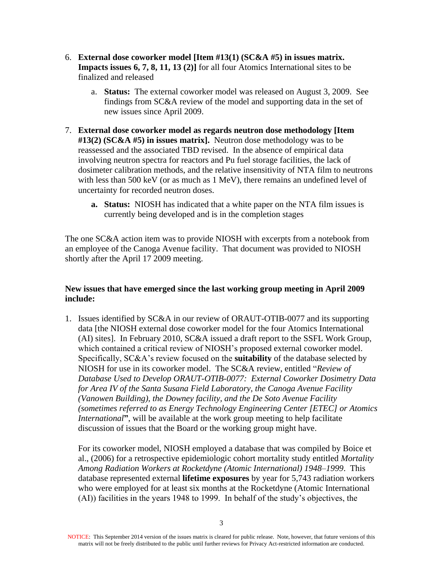- 6. **External dose coworker model [Item #13(1) (SC&A #5) in issues matrix. Impacts issues 6, 7, 8, 11, 13 (2)]** for all four Atomics International sites to be finalized and released
	- a. **Status:** The external coworker model was released on August 3, 2009. See findings from SC&A review of the model and supporting data in the set of new issues since April 2009.
- 7. **External dose coworker model as regards neutron dose methodology [Item #13(2) (SC&A #5) in issues matrix].** Neutron dose methodology was to be reassessed and the associated TBD revised. In the absence of empirical data involving neutron spectra for reactors and Pu fuel storage facilities, the lack of dosimeter calibration methods, and the relative insensitivity of NTA film to neutrons with less than  $500 \text{ keV}$  (or as much as  $1 \text{ MeV}$ ), there remains an undefined level of uncertainty for recorded neutron doses.
	- **a. Status:** NIOSH has indicated that a white paper on the NTA film issues is currently being developed and is in the completion stages

The one SC&A action item was to provide NIOSH with excerpts from a notebook from an employee of the Canoga Avenue facility. That document was provided to NIOSH shortly after the April 17 2009 meeting.

# **New issues that have emerged since the last working group meeting in April 2009 include:**

1. Issues identified by SC&A in our review of ORAUT-OTIB-0077 and its supporting data [the NIOSH external dose coworker model for the four Atomics International (AI) sites]. In February 2010, SC&A issued a draft report to the SSFL Work Group, which contained a critical review of NIOSH's proposed external coworker model. Specifically, SC&A's review focused on the **suitability** of the database selected by NIOSH for use in its coworker model. The SC&A review, entitled "*Review of Database Used to Develop ORAUT-OTIB-0077: External Coworker Dosimetry Data for Area IV of the Santa Susana Field Laboratory, the Canoga Avenue Facility (Vanowen Building), the Downey facility, and the De Soto Avenue Facility (sometimes referred to as Energy Technology Engineering Center [ETEC] or Atomics International***"**, will be available at the work group meeting to help facilitate discussion of issues that the Board or the working group might have.

For its coworker model, NIOSH employed a database that was compiled by Boice et al., (2006) for a retrospective epidemiologic cohort mortality study entitled *Mortality Among Radiation Workers at Rocketdyne (Atomic International) 1948–1999*. This database represented external **lifetime exposures** by year for 5,743 radiation workers who were employed for at least six months at the Rocketdyne (Atomic International (AI)) facilities in the years 1948 to 1999. In behalf of the study's objectives, the

NOTICE: This September 2014 version of the issues matrix is cleared for public release. Note, however, that future versions of this matrix will not be freely distributed to the public until further reviews for Privacy Act-restricted information are conducted.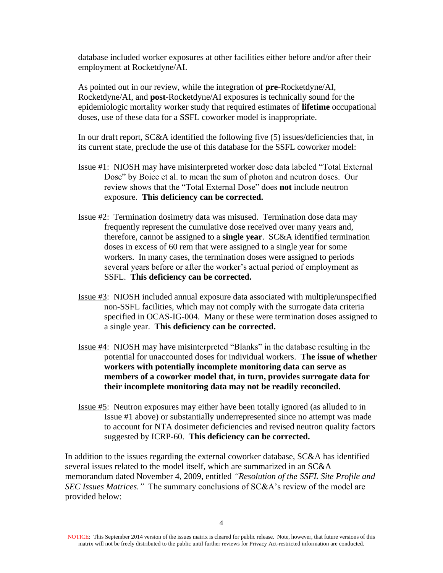database included worker exposures at other facilities either before and/or after their employment at Rocketdyne/AI.

As pointed out in our review, while the integration of **pre**-Rocketdyne/AI, Rocketdyne/AI, and **post**-Rocketdyne/AI exposures is technically sound for the epidemiologic mortality worker study that required estimates of **lifetime** occupational doses, use of these data for a SSFL coworker model is inappropriate.

In our draft report, SC&A identified the following five (5) issues/deficiencies that, in its current state, preclude the use of this database for the SSFL coworker model:

- Issue #1: NIOSH may have misinterpreted worker dose data labeled "Total External Dose" by Boice et al. to mean the sum of photon and neutron doses. Our review shows that the "Total External Dose" does **not** include neutron exposure. **This deficiency can be corrected.**
- Issue #2: Termination dosimetry data was misused. Termination dose data may frequently represent the cumulative dose received over many years and, therefore, cannot be assigned to a **single year**. SC&A identified termination doses in excess of 60 rem that were assigned to a single year for some workers. In many cases, the termination doses were assigned to periods several years before or after the worker's actual period of employment as SSFL. **This deficiency can be corrected.**
- Issue #3: NIOSH included annual exposure data associated with multiple/unspecified non-SSFL facilities, which may not comply with the surrogate data criteria specified in OCAS-IG-004. Many or these were termination doses assigned to a single year. **This deficiency can be corrected.**
- Issue #4: NIOSH may have misinterpreted "Blanks" in the database resulting in the potential for unaccounted doses for individual workers. **The issue of whether workers with potentially incomplete monitoring data can serve as members of a coworker model that, in turn, provides surrogate data for their incomplete monitoring data may not be readily reconciled.**
- Issue #5: Neutron exposures may either have been totally ignored (as alluded to in Issue #1 above) or substantially underrepresented since no attempt was made to account for NTA dosimeter deficiencies and revised neutron quality factors suggested by ICRP-60. **This deficiency can be corrected.**

In addition to the issues regarding the external coworker database, SC&A has identified several issues related to the model itself, which are summarized in an SC&A memorandum dated November 4, 2009, entitled *"Resolution of the SSFL Site Profile and SEC Issues Matrices."* The summary conclusions of SC&A's review of the model are provided below:

NOTICE: This September 2014 version of the issues matrix is cleared for public release. Note, however, that future versions of this matrix will not be freely distributed to the public until further reviews for Privacy Act-restricted information are conducted.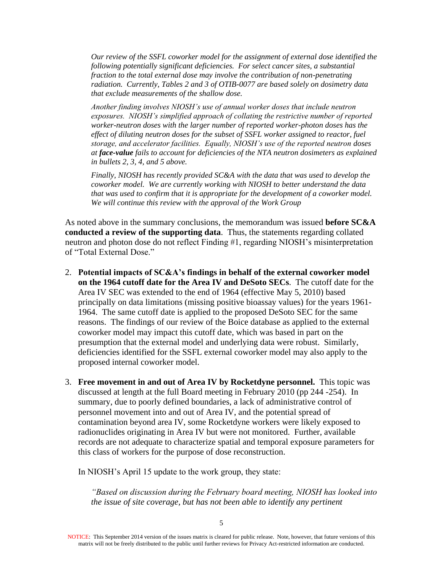*Our review of the SSFL coworker model for the assignment of external dose identified the following potentially significant deficiencies. For select cancer sites, a substantial fraction to the total external dose may involve the contribution of non-penetrating radiation. Currently, Tables 2 and 3 of OTIB-0077 are based solely on dosimetry data that exclude measurements of the shallow dose.*

*Another finding involves NIOSH's use of annual worker doses that include neutron exposures. NIOSH's simplified approach of collating the restrictive number of reported worker-neutron doses with the larger number of reported worker-photon doses has the effect of diluting neutron doses for the subset of SSFL worker assigned to reactor, fuel storage, and accelerator facilities. Equally, NIOSH's use of the reported neutron doses at face-value fails to account for deficiencies of the NTA neutron dosimeters as explained in bullets 2, 3, 4, and 5 above.*

*Finally, NIOSH has recently provided SC&A with the data that was used to develop the coworker model. We are currently working with NIOSH to better understand the data that was used to confirm that it is appropriate for the development of a coworker model. We will continue this review with the approval of the Work Group*

As noted above in the summary conclusions, the memorandum was issued **before SC&A conducted a review of the supporting data**. Thus, the statements regarding collated neutron and photon dose do not reflect Finding #1, regarding NIOSH's misinterpretation of "Total External Dose."

- 2. **Potential impacts of SC&A's findings in behalf of the external coworker model on the 1964 cutoff date for the Area IV and DeSoto SECs**. The cutoff date for the Area IV SEC was extended to the end of 1964 (effective May 5, 2010) based principally on data limitations (missing positive bioassay values) for the years 1961- 1964. The same cutoff date is applied to the proposed DeSoto SEC for the same reasons. The findings of our review of the Boice database as applied to the external coworker model may impact this cutoff date, which was based in part on the presumption that the external model and underlying data were robust. Similarly, deficiencies identified for the SSFL external coworker model may also apply to the proposed internal coworker model.
- 3. **Free movement in and out of Area IV by Rocketdyne personnel.** This topic was discussed at length at the full Board meeting in February 2010 (pp 244 -254). In summary, due to poorly defined boundaries, a lack of administrative control of personnel movement into and out of Area IV, and the potential spread of contamination beyond area IV, some Rocketdyne workers were likely exposed to radionuclides originating in Area IV but were not monitored. Further, available records are not adequate to characterize spatial and temporal exposure parameters for this class of workers for the purpose of dose reconstruction.

In NIOSH's April 15 update to the work group, they state:

*"Based on discussion during the February board meeting, NIOSH has looked into the issue of site coverage, but has not been able to identify any pertinent* 

NOTICE: This September 2014 version of the issues matrix is cleared for public release. Note, however, that future versions of this matrix will not be freely distributed to the public until further reviews for Privacy Act-restricted information are conducted.